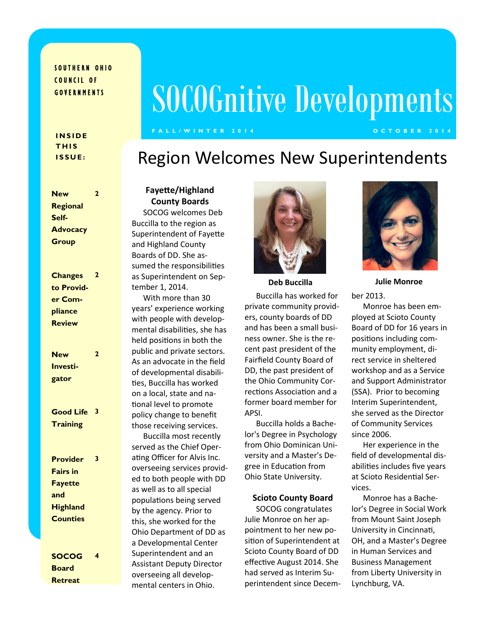#### SOUTHERN OHIO COUNCIL OF G O V E R N M E N T S

# SOCOGnitive Developments

#### **F A L L / W I N T E R 2 0 1 4 O C T O B E R 2 0 1 4**

#### **I N S I D E T H I S I S S U E :**

Region Welcomes New Superintendents

| <b>New</b>       | 2              |
|------------------|----------------|
| Regional         |                |
| Self-            |                |
| <b>Advocacy</b>  |                |
| Group            |                |
|                  |                |
|                  |                |
| <b>Changes</b>   | $\overline{2}$ |
| to Provid-       |                |
| er Com-          |                |
| pliance          |                |
| <b>Review</b>    |                |
|                  |                |
|                  |                |
| <b>New</b>       | $\overline{2}$ |
| <b>Investi-</b>  |                |
| gator            |                |
|                  |                |
|                  |                |
| <b>Good Life</b> | 3              |
| <b>Training</b>  |                |
|                  |                |
|                  |                |
| <b>Provider</b>  | 3              |
| <b>Fairs in</b>  |                |
| <b>Fayette</b>   |                |
| and              |                |
| <b>Highland</b>  |                |
| <b>Counties</b>  |                |
|                  |                |
|                  |                |
| <b>SOCOG</b>     | 4              |
| <b>Board</b>     |                |

**Retreat**

#### **Fayette/Highland County Boards** SOCOG welcomes Deb Buccilla to the region as Superintendent of Fayette and Highland County

Boards of DD. She assumed the responsibilities as Superintendent on September 1, 2014.

With more than 30 years' experience working with people with developmental disabilities, she has held positions in both the public and private sectors. As an advocate in the field of developmental disabilities, Buccilla has worked on a local, state and national level to promote policy change to benefit those receiving services.

Buccilla most recently served as the Chief Operating Officer for Alvis Inc. overseeing services provided to both people with DD as well as to all special populations being served by the agency. Prior to this, she worked for the Ohio Department of DD as a Developmental Center Superintendent and an Assistant Deputy Director overseeing all developmental centers in Ohio.



Buccilla has worked for private community providers, county boards of DD and has been a small business owner. She is the recent past president of the Fairfield County Board of DD, the past president of the Ohio Community Corrections Association and a former board member for APSI.

Buccilla holds a Bachelor's Degree in Psychology from Ohio Dominican University and a Master's Degree in Education from Ohio State University.

#### **Scioto County Board**

SOCOG congratulates Julie Monroe on her appointment to her new position of Superintendent at Scioto County Board of DD effective August 2014. She had served as Interim Superintendent since Decem-



ber 2013. **Deb Buccilla Julie Monroe**

> Monroe has been employed at Scioto County Board of DD for 16 years in positions including community employment, direct service in sheltered workshop and as a Service and Support Administrator (SSA). Prior to becoming Interim Superintendent, she served as the Director of Community Services since 2006.

Her experience in the field of developmental disabilities includes five years at Scioto Residential Services.

Monroe has a Bachelor's Degree in Social Work from Mount Saint Joseph University in Cincinnati, OH, and a Master's Degree in Human Services and Business Management from Liberty University in Lynchburg, VA.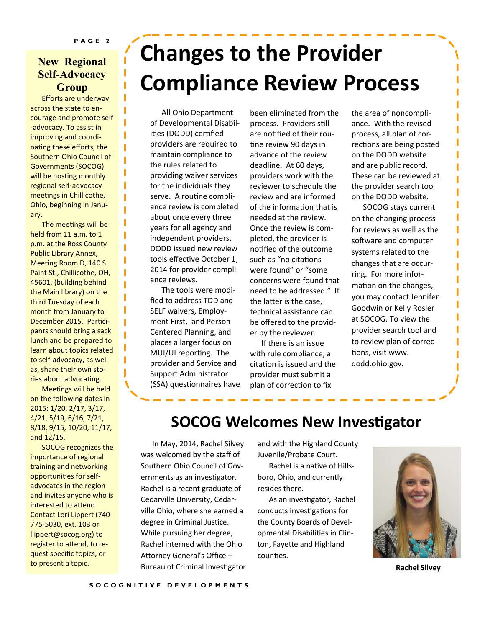### **New Regional Self-Advocacy Group**

Efforts are underway across the state to encourage and promote self -advocacy. To assist in improving and coordinating these efforts, the Southern Ohio Council of Governments (SOCOG) will be hosting monthly regional self-advocacy meetings in Chillicothe, Ohio, beginning in January.

The meetings will be held from 11 a.m. to 1 p.m. at the Ross County Public Library Annex, Meeting Room D, 140 S. Paint St., Chillicothe, OH, 45601, (building behind the Main library) on the third Tuesday of each month from January to December 2015. Participants should bring a sack lunch and be prepared to learn about topics related to self-advocacy, as well as, share their own stories about advocating.

Meetings will be held on the following dates in 2015: 1/20, 2/17, 3/17, 4/21, 5/19, 6/16, 7/21, 8/18, 9/15, 10/20, 11/17, and 12/15.

SOCOG recognizes the importance of regional training and networking opportunities for selfadvocates in the region and invites anyone who is interested to attend. Contact Lori Lippert (740- 775-5030, ext. 103 or llippert@socog.org) to register to attend, to request specific topics, or to present a topic.

## **Changes to the Provider Compliance Review Process**

All Ohio Department of Developmental Disabilities (DODD) certified providers are required to maintain compliance to the rules related to providing waiver services for the individuals they serve. A routine compliance review is completed about once every three years for all agency and independent providers. DODD issued new review tools effective October 1, 2014 for provider compliance reviews.

The tools were modified to address TDD and SELF waivers, Employment First, and Person Centered Planning, and places a larger focus on MUI/UI reporting. The provider and Service and Support Administrator (SSA) questionnaires have been eliminated from the process. Providers still are notified of their routine review 90 days in advance of the review deadline. At 60 days, providers work with the reviewer to schedule the review and are informed of the information that is needed at the review. Once the review is completed, the provider is notified of the outcome such as "no citations were found" or "some concerns were found that need to be addressed." If the latter is the case, technical assistance can be offered to the provider by the reviewer.

If there is an issue with rule compliance, a citation is issued and the provider must submit a plan of correction to fix

the area of noncompliance. With the revised process, all plan of corrections are being posted on the DODD website and are public record. These can be reviewed at the provider search tool on the DODD website.

SOCOG stays current on the changing process for reviews as well as the software and computer systems related to the changes that are occurring. For more information on the changes, you may contact Jennifer Goodwin or Kelly Rosler at SOCOG. To view the provider search tool and to review plan of corrections, visit www. dodd.ohio.gov.

### **SOCOG Welcomes New Investigator**

In May, 2014, Rachel Silvey was welcomed by the staff of Southern Ohio Council of Governments as an investigator. Rachel is a recent graduate of Cedarville University, Cedarville Ohio, where she earned a degree in Criminal Justice. While pursuing her degree, Rachel interned with the Ohio Attorney General's Office – Bureau of Criminal Investigator **Rachel Silvey**

and with the Highland County Juvenile/Probate Court.

Rachel is a native of Hillsboro, Ohio, and currently resides there.

As an investigator, Rachel conducts investigations for the County Boards of Developmental Disabilities in Clinton, Fayette and Highland counties.

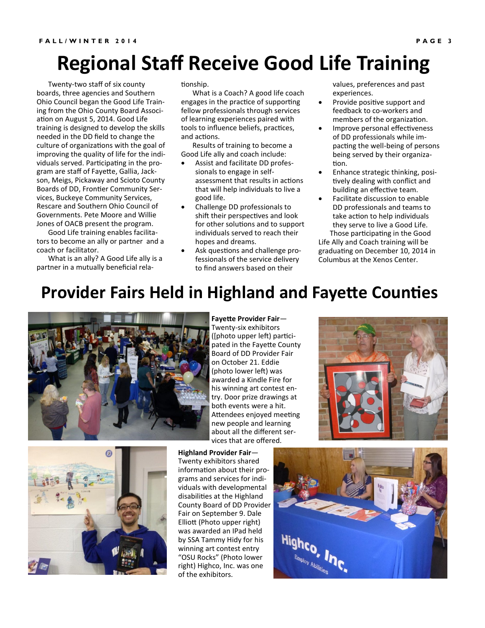### **Regional Staff Receive Good Life Training**

Twenty-two staff of six county boards, three agencies and Southern Ohio Council began the Good Life Training from the Ohio County Board Association on August 5, 2014. Good Life training is designed to develop the skills needed in the DD field to change the culture of organizations with the goal of improving the quality of life for the individuals served. Participating in the program are staff of Fayette, Gallia, Jackson, Meigs, Pickaway and Scioto County Boards of DD, Frontier Community Services, Buckeye Community Services, Rescare and Southern Ohio Council of Governments. Pete Moore and Willie Jones of OACB present the program.

Good Life training enables facilitators to become an ally or partner and a coach or facilitator.

What is an ally? A Good Life ally is a partner in a mutually beneficial relationship.

What is a Coach? A good life coach engages in the practice of supporting fellow professionals through services of learning experiences paired with tools to influence beliefs, practices, and actions.

Results of training to become a Good Life ally and coach include:

- Assist and facilitate DD professionals to engage in selfassessment that results in actions that will help individuals to live a good life.
- Challenge DD professionals to shift their perspectives and look for other solutions and to support individuals served to reach their hopes and dreams.
- Ask questions and challenge professionals of the service delivery to find answers based on their

values, preferences and past experiences.

- Provide positive support and feedback to co-workers and members of the organization.
- Improve personal effectiveness of DD professionals while impacting the well-being of persons being served by their organization.
- Enhance strategic thinking, positively dealing with conflict and building an effective team.
- Facilitate discussion to enable DD professionals and teams to take action to help individuals they serve to live a Good Life. Those participating in the Good

Life Ally and Coach training will be graduating on December 10, 2014 in Columbus at the Xenos Center.

### **Provider Fairs Held in Highland and Fayette Counties**



**Fayette Provider Fair**— Twenty-six exhibitors ([photo upper left) participated in the Fayette County Board of DD Provider Fair on October 21. Eddie (photo lower left) was awarded a Kindle Fire for his winning art contest entry. Door prize drawings at both events were a hit. Attendees enjoyed meeting new people and learning about all the different services that are offered.





**Highland Provider Fair**— Twenty exhibitors shared information about their programs and services for individuals with developmental disabilities at the Highland County Board of DD Provider Fair on September 9. Dale Elliott (Photo upper right) was awarded an IPad held by SSA Tammy Hidy for his winning art contest entry "OSU Rocks" (Photo lower right) Highco, Inc. was one of the exhibitors.